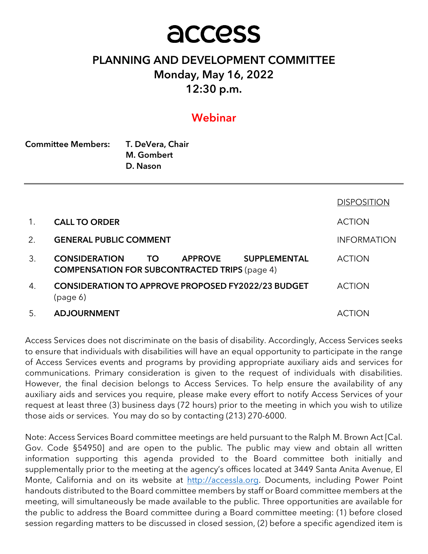# access

# PLANNING AND DEVELOPMENT COMMITTEE Monday, May 16, 2022 12:30 p.m.

# Webinar

| <b>Committee Members:</b> | T. DeVera, Chair |  |  |
|---------------------------|------------------|--|--|
|                           | M. Gombert       |  |  |
|                           | D. Nason         |  |  |

|         |                                                                                                                                    | <b>DISPOSITION</b> |
|---------|------------------------------------------------------------------------------------------------------------------------------------|--------------------|
| $1_{1}$ | <b>CALL TO ORDER</b>                                                                                                               | <b>ACTION</b>      |
| 2.      | <b>GENERAL PUBLIC COMMENT</b>                                                                                                      | <b>INFORMATION</b> |
| 3.      | <b>CONSIDERATION</b><br><b>SUPPLEMENTAL</b><br><b>TO</b><br><b>APPROVE</b><br><b>COMPENSATION FOR SUBCONTRACTED TRIPS (page 4)</b> | <b>ACTION</b>      |
| 4.      | <b>CONSIDERATION TO APPROVE PROPOSED FY2022/23 BUDGET</b><br>(page 6)                                                              | <b>ACTION</b>      |
| 5.      | <b>ADJOURNMENT</b>                                                                                                                 | ACTION             |

Access Services does not discriminate on the basis of disability. Accordingly, Access Services seeks to ensure that individuals with disabilities will have an equal opportunity to participate in the range of Access Services events and programs by providing appropriate auxiliary aids and services for communications. Primary consideration is given to the request of individuals with disabilities. However, the final decision belongs to Access Services. To help ensure the availability of any auxiliary aids and services you require, please make every effort to notify Access Services of your request at least three (3) business days (72 hours) prior to the meeting in which you wish to utilize those aids or services. You may do so by contacting (213) 270-6000.

Note: Access Services Board committee meetings are held pursuant to the Ralph M. Brown Act [Cal. Gov. Code §54950] and are open to the public. The public may view and obtain all written information supporting this agenda provided to the Board committee both initially and supplementally prior to the meeting at the agency's offices located at 3449 Santa Anita Avenue, El Monte, California and on its website at http://accessla.org. Documents, including Power Point handouts distributed to the Board committee members by staff or Board committee members at the meeting, will simultaneously be made available to the public. Three opportunities are available for the public to address the Board committee during a Board committee meeting: (1) before closed session regarding matters to be discussed in closed session, (2) before a specific agendized item is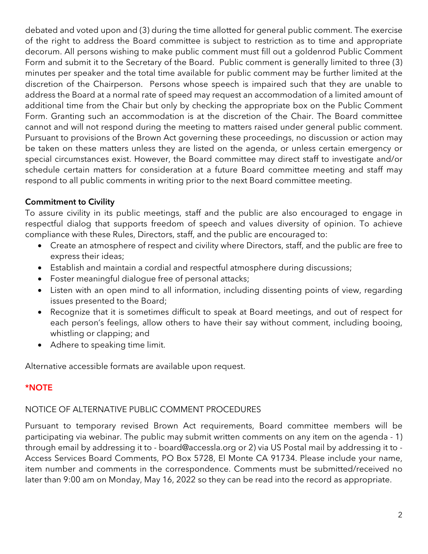debated and voted upon and (3) during the time allotted for general public comment. The exercise of the right to address the Board committee is subject to restriction as to time and appropriate decorum. All persons wishing to make public comment must fill out a goldenrod Public Comment Form and submit it to the Secretary of the Board. Public comment is generally limited to three (3) minutes per speaker and the total time available for public comment may be further limited at the discretion of the Chairperson. Persons whose speech is impaired such that they are unable to address the Board at a normal rate of speed may request an accommodation of a limited amount of additional time from the Chair but only by checking the appropriate box on the Public Comment Form. Granting such an accommodation is at the discretion of the Chair. The Board committee cannot and will not respond during the meeting to matters raised under general public comment. Pursuant to provisions of the Brown Act governing these proceedings, no discussion or action may be taken on these matters unless they are listed on the agenda, or unless certain emergency or special circumstances exist. However, the Board committee may direct staff to investigate and/or schedule certain matters for consideration at a future Board committee meeting and staff may respond to all public comments in writing prior to the next Board committee meeting.

# Commitment to Civility

To assure civility in its public meetings, staff and the public are also encouraged to engage in respectful dialog that supports freedom of speech and values diversity of opinion. To achieve compliance with these Rules, Directors, staff, and the public are encouraged to:

- Create an atmosphere of respect and civility where Directors, staff, and the public are free to express their ideas;
- Establish and maintain a cordial and respectful atmosphere during discussions;
- Foster meaningful dialogue free of personal attacks;
- Listen with an open mind to all information, including dissenting points of view, regarding issues presented to the Board;
- Recognize that it is sometimes difficult to speak at Board meetings, and out of respect for each person's feelings, allow others to have their say without comment, including booing, whistling or clapping; and
- Adhere to speaking time limit.

Alternative accessible formats are available upon request.

# \*NOTE

# NOTICE OF ALTERNATIVE PUBLIC COMMENT PROCEDURES

Pursuant to temporary revised Brown Act requirements, Board committee members will be participating via webinar. The public may submit written comments on any item on the agenda - 1) through email by addressing it to - board@accessla.org or 2) via US Postal mail by addressing it to - Access Services Board Comments, PO Box 5728, El Monte CA 91734. Please include your name, item number and comments in the correspondence. Comments must be submitted/received no later than 9:00 am on Monday, May 16, 2022 so they can be read into the record as appropriate.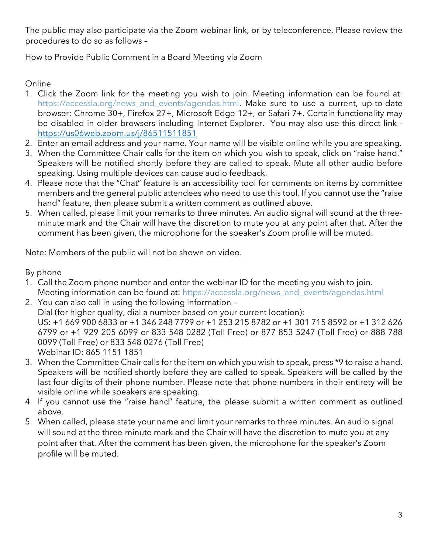The public may also participate via the Zoom webinar link, or by teleconference. Please review the procedures to do so as follows –

How to Provide Public Comment in a Board Meeting via Zoom

# Online

- 1. Click the Zoom link for the meeting you wish to join. Meeting information can be found at: https://accessla.org/news\_and\_events/agendas.html. Make sure to use a current, up-to-date browser: Chrome 30+, Firefox 27+, Microsoft Edge 12+, or Safari 7+. Certain functionality may be disabled in older browsers including Internet Explorer. You may also use this direct link https://us06web.zoom.us/j/86511511851
- 2. Enter an email address and your name. Your name will be visible online while you are speaking.
- 3. When the Committee Chair calls for the item on which you wish to speak, click on "raise hand." Speakers will be notified shortly before they are called to speak. Mute all other audio before speaking. Using multiple devices can cause audio feedback.
- 4. Please note that the "Chat" feature is an accessibility tool for comments on items by committee members and the general public attendees who need to use this tool. If you cannot use the "raise hand" feature, then please submit a written comment as outlined above.
- 5. When called, please limit your remarks to three minutes. An audio signal will sound at the threeminute mark and the Chair will have the discretion to mute you at any point after that. After the comment has been given, the microphone for the speaker's Zoom profile will be muted.

Note: Members of the public will not be shown on video.

By phone

- 1. Call the Zoom phone number and enter the webinar ID for the meeting you wish to join. Meeting information can be found at: https://accessla.org/news\_and\_events/agendas.html
- 2. You can also call in using the following information Dial (for higher quality, dial a number based on your current location): US: +1 669 900 6833 or +1 346 248 7799 or +1 253 215 8782 or +1 301 715 8592 or +1 312 626 6799 or +1 929 205 6099 or 833 548 0282 (Toll Free) or 877 853 5247 (Toll Free) or 888 788 0099 (Toll Free) or 833 548 0276 (Toll Free) Webinar ID: 865 1151 1851
- 3. When the Committee Chair calls for the item on which you wish to speak, press \*9 to raise a hand. Speakers will be notified shortly before they are called to speak. Speakers will be called by the last four digits of their phone number. Please note that phone numbers in their entirety will be visible online while speakers are speaking.
- 4. If you cannot use the "raise hand" feature, the please submit a written comment as outlined above.
- 5. When called, please state your name and limit your remarks to three minutes. An audio signal will sound at the three-minute mark and the Chair will have the discretion to mute you at any point after that. After the comment has been given, the microphone for the speaker's Zoom profile will be muted.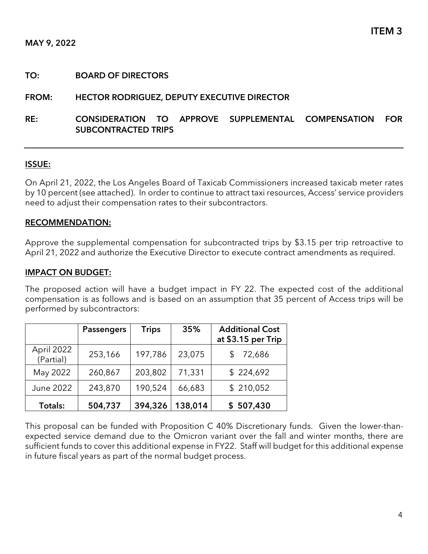#### TO: BOARD OF DIRECTORS

#### FROM: HECTOR RODRIGUEZ, DEPUTY EXECUTIVE DIRECTOR

## RE: CONSIDERATION TO APPROVE SUPPLEMENTAL COMPENSATION FOR SUBCONTRACTED TRIPS

#### ISSUE:

On April 21, 2022, the Los Angeles Board of Taxicab Commissioners increased taxicab meter rates by 10 percent (see attached). In order to continue to attract taxi resources, Access' service providers need to adjust their compensation rates to their subcontractors.

#### RECOMMENDATION:

Approve the supplemental compensation for subcontracted trips by \$3.15 per trip retroactive to April 21, 2022 and authorize the Executive Director to execute contract amendments as required.

#### IMPACT ON BUDGET:

The proposed action will have a budget impact in FY 22. The expected cost of the additional compensation is as follows and is based on an assumption that 35 percent of Access trips will be performed by subcontractors:

|                         | <b>Passengers</b> | <b>Trips</b> | 35%     | <b>Additional Cost</b><br>at \$3.15 per Trip |  |
|-------------------------|-------------------|--------------|---------|----------------------------------------------|--|
| April 2022<br>(Partial) | 253,166           | 197,786      | 23,075  | 72,686                                       |  |
| May 2022                | 260,867           | 203,802      | 71,331  | \$224,692<br>\$210,052                       |  |
| June 2022               | 243,870           | 190,524      | 66,683  |                                              |  |
| Totals:                 | 504,737           | 394,326      | 138,014 | \$507,430                                    |  |

This proposal can be funded with Proposition C 40% Discretionary funds. Given the lower-thanexpected service demand due to the Omicron variant over the fall and winter months, there are sufficient funds to cover this additional expense in FY22. Staff will budget for this additional expense in future fiscal years as part of the normal budget process.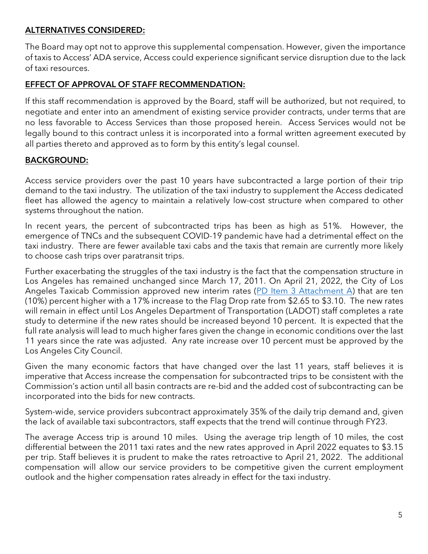# ALTERNATIVES CONSIDERED:

The Board may opt not to approve this supplemental compensation. However, given the importance of taxis to Access' ADA service, Access could experience significant service disruption due to the lack of taxi resources.

## EFFECT OF APPROVAL OF STAFF RECOMMENDATION:

If this staff recommendation is approved by the Board, staff will be authorized, but not required, to negotiate and enter into an amendment of existing service provider contracts, under terms that are no less favorable to Access Services than those proposed herein. Access Services would not be legally bound to this contract unless it is incorporated into a formal written agreement executed by all parties thereto and approved as to form by this entity's legal counsel.

# BACKGROUND:

Access service providers over the past 10 years have subcontracted a large portion of their trip demand to the taxi industry. The utilization of the taxi industry to supplement the Access dedicated fleet has allowed the agency to maintain a relatively low-cost structure when compared to other systems throughout the nation.

In recent years, the percent of subcontracted trips has been as high as 51%. However, the emergence of TNCs and the subsequent COVID-19 pandemic have had a detrimental effect on the taxi industry. There are fewer available taxi cabs and the taxis that remain are currently more likely to choose cash trips over paratransit trips.

Further exacerbating the struggles of the taxi industry is the fact that the compensation structure in Los Angeles has remained unchanged since March 17, 2011. On April 21, 2022, the City of Los Angeles Taxicab Commission approved new interim rates [\(PD Item 3 Attachment A\)](https://accessla.org/sites/default/files/Agendas/PD%20Item%203%20Attachment%20A.pdf) that are ten (10%) percent higher with a 17% increase to the Flag Drop rate from \$2.65 to \$3.10. The new rates will remain in effect until Los Angeles Department of Transportation (LADOT) staff completes a rate study to determine if the new rates should be increased beyond 10 percent. It is expected that the full rate analysis will lead to much higher fares given the change in economic conditions over the last 11 years since the rate was adjusted. Any rate increase over 10 percent must be approved by the Los Angeles City Council.

Given the many economic factors that have changed over the last 11 years, staff believes it is imperative that Access increase the compensation for subcontracted trips to be consistent with the Commission's action until all basin contracts are re-bid and the added cost of subcontracting can be incorporated into the bids for new contracts.

System-wide, service providers subcontract approximately 35% of the daily trip demand and, given the lack of available taxi subcontractors, staff expects that the trend will continue through FY23.

The average Access trip is around 10 miles. Using the average trip length of 10 miles, the cost differential between the 2011 taxi rates and the new rates approved in April 2022 equates to \$3.15 per trip. Staff believes it is prudent to make the rates retroactive to April 21, 2022. The additional compensation will allow our service providers to be competitive given the current employment outlook and the higher compensation rates already in effect for the taxi industry.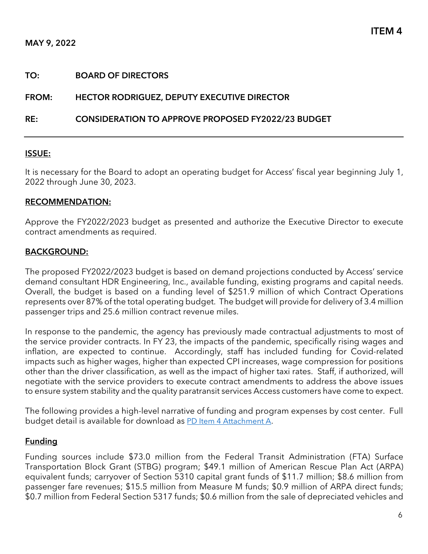#### TO: BOARD OF DIRECTORS

#### FROM: HECTOR RODRIGUEZ, DEPUTY EXECUTIVE DIRECTOR

#### RE: CONSIDERATION TO APPROVE PROPOSED FY2022/23 BUDGET

#### ISSUE:

It is necessary for the Board to adopt an operating budget for Access' fiscal year beginning July 1, 2022 through June 30, 2023.

#### RECOMMENDATION:

Approve the FY2022/2023 budget as presented and authorize the Executive Director to execute contract amendments as required.

#### BACKGROUND:

The proposed FY2022/2023 budget is based on demand projections conducted by Access' service demand consultant HDR Engineering, Inc., available funding, existing programs and capital needs. Overall, the budget is based on a funding level of \$251.9 million of which Contract Operations represents over 87% of the total operating budget. The budget will provide for delivery of 3.4 million passenger trips and 25.6 million contract revenue miles.

In response to the pandemic, the agency has previously made contractual adjustments to most of the service provider contracts. In FY 23, the impacts of the pandemic, specifically rising wages and inflation, are expected to continue. Accordingly, staff has included funding for Covid-related impacts such as higher wages, higher than expected CPI increases, wage compression for positions other than the driver classification, as well as the impact of higher taxi rates. Staff, if authorized, will negotiate with the service providers to execute contract amendments to address the above issues to ensure system stability and the quality paratransit services Access customers have come to expect.

The following provides a high-level narrative of funding and program expenses by cost center. Full budget detail is available for download as [PD Item 4 Attachment A.](https://accessla.org/sites/default/files/Agendas/Proposed%20Budget%20Detail%20FY2022_23.pdf)

#### **Funding**

Funding sources include \$73.0 million from the Federal Transit Administration (FTA) Surface Transportation Block Grant (STBG) program; \$49.1 million of American Rescue Plan Act (ARPA) equivalent funds; carryover of Section 5310 capital grant funds of \$11.7 million; \$8.6 million from passenger fare revenues; \$15.5 million from Measure M funds; \$0.9 million of ARPA direct funds; \$0.7 million from Federal Section 5317 funds; \$0.6 million from the sale of depreciated vehicles and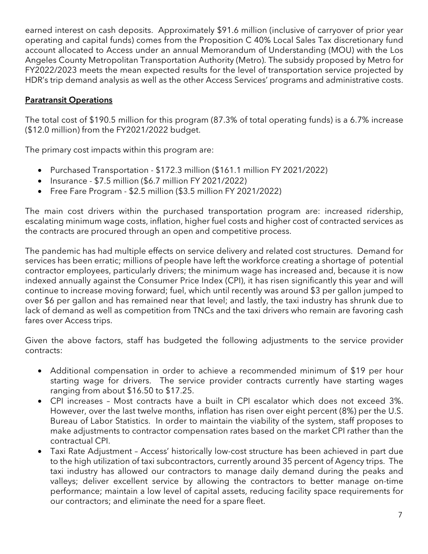earned interest on cash deposits. Approximately \$91.6 million (inclusive of carryover of prior year operating and capital funds) comes from the Proposition C 40% Local Sales Tax discretionary fund account allocated to Access under an annual Memorandum of Understanding (MOU) with the Los Angeles County Metropolitan Transportation Authority (Metro). The subsidy proposed by Metro for FY2022/2023 meets the mean expected results for the level of transportation service projected by HDR's trip demand analysis as well as the other Access Services' programs and administrative costs.

# Paratransit Operations

The total cost of \$190.5 million for this program (87.3% of total operating funds) is a 6.7% increase (\$12.0 million) from the FY2021/2022 budget.

The primary cost impacts within this program are:

- Purchased Transportation \$172.3 million (\$161.1 million FY 2021/2022)
- Insurance \$7.5 million (\$6.7 million FY 2021/2022)
- Free Fare Program \$2.5 million (\$3.5 million FY 2021/2022)

The main cost drivers within the purchased transportation program are: increased ridership, escalating minimum wage costs, inflation, higher fuel costs and higher cost of contracted services as the contracts are procured through an open and competitive process.

The pandemic has had multiple effects on service delivery and related cost structures. Demand for services has been erratic; millions of people have left the workforce creating a shortage of potential contractor employees, particularly drivers; the minimum wage has increased and, because it is now indexed annually against the Consumer Price Index (CPI), it has risen significantly this year and will continue to increase moving forward; fuel, which until recently was around \$3 per gallon jumped to over \$6 per gallon and has remained near that level; and lastly, the taxi industry has shrunk due to lack of demand as well as competition from TNCs and the taxi drivers who remain are favoring cash fares over Access trips.

Given the above factors, staff has budgeted the following adjustments to the service provider contracts:

- Additional compensation in order to achieve a recommended minimum of \$19 per hour starting wage for drivers. The service provider contracts currently have starting wages ranging from about \$16.50 to \$17.25.
- CPI increases Most contracts have a built in CPI escalator which does not exceed 3%. However, over the last twelve months, inflation has risen over eight percent (8%) per the U.S. Bureau of Labor Statistics. In order to maintain the viability of the system, staff proposes to make adjustments to contractor compensation rates based on the market CPI rather than the contractual CPI.
- Taxi Rate Adjustment Access' historically low-cost structure has been achieved in part due to the high utilization of taxi subcontractors, currently around 35 percent of Agency trips. The taxi industry has allowed our contractors to manage daily demand during the peaks and valleys; deliver excellent service by allowing the contractors to better manage on-time performance; maintain a low level of capital assets, reducing facility space requirements for our contractors; and eliminate the need for a spare fleet.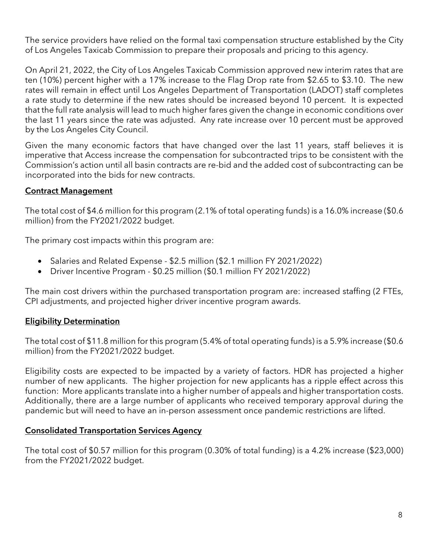The service providers have relied on the formal taxi compensation structure established by the City of Los Angeles Taxicab Commission to prepare their proposals and pricing to this agency.

On April 21, 2022, the City of Los Angeles Taxicab Commission approved new interim rates that are ten (10%) percent higher with a 17% increase to the Flag Drop rate from \$2.65 to \$3.10. The new rates will remain in effect until Los Angeles Department of Transportation (LADOT) staff completes a rate study to determine if the new rates should be increased beyond 10 percent. It is expected that the full rate analysis will lead to much higher fares given the change in economic conditions over the last 11 years since the rate was adjusted. Any rate increase over 10 percent must be approved by the Los Angeles City Council.

Given the many economic factors that have changed over the last 11 years, staff believes it is imperative that Access increase the compensation for subcontracted trips to be consistent with the Commission's action until all basin contracts are re-bid and the added cost of subcontracting can be incorporated into the bids for new contracts.

## Contract Management

The total cost of \$4.6 million for this program (2.1% of total operating funds) is a 16.0% increase (\$0.6 million) from the FY2021/2022 budget.

The primary cost impacts within this program are:

- Salaries and Related Expense \$2.5 million (\$2.1 million FY 2021/2022)
- Driver Incentive Program \$0.25 million (\$0.1 million FY 2021/2022)

The main cost drivers within the purchased transportation program are: increased staffing (2 FTEs, CPI adjustments, and projected higher driver incentive program awards.

# Eligibility Determination

The total cost of \$11.8 million for this program (5.4% of total operating funds) is a 5.9% increase (\$0.6 million) from the FY2021/2022 budget.

Eligibility costs are expected to be impacted by a variety of factors. HDR has projected a higher number of new applicants. The higher projection for new applicants has a ripple effect across this function: More applicants translate into a higher number of appeals and higher transportation costs. Additionally, there are a large number of applicants who received temporary approval during the pandemic but will need to have an in-person assessment once pandemic restrictions are lifted.

### Consolidated Transportation Services Agency

The total cost of \$0.57 million for this program (0.30% of total funding) is a 4.2% increase (\$23,000) from the FY2021/2022 budget.